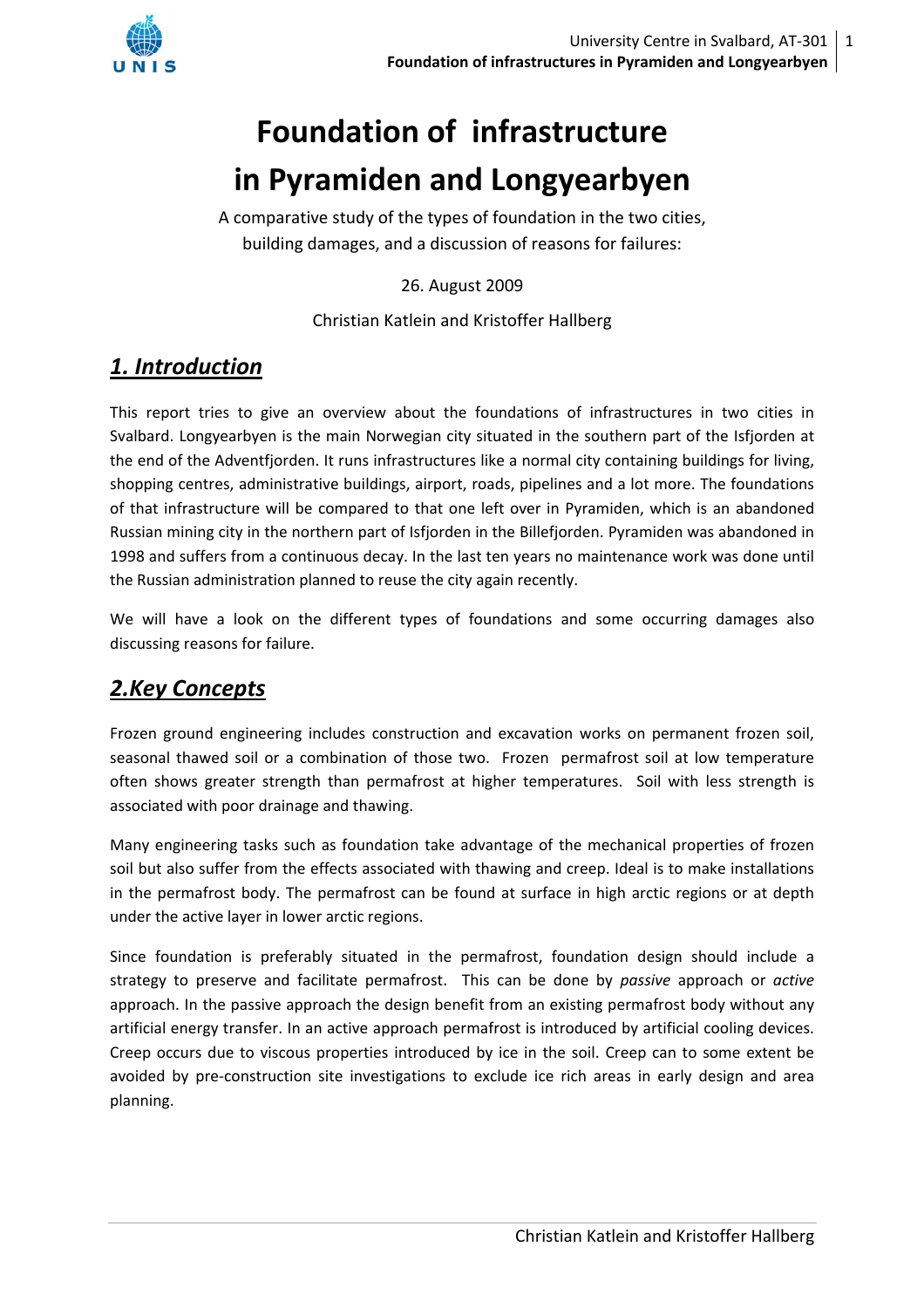

# **Foundation of infrastructure in Pyramiden and Longyearbyen**

A comparative study of the types of foundation in the two cities, building damages, and a discussion of reasons for failures:

26. August 2009

Christian Katlein and Kristoffer Hallberg

# *1. Introduction*

This report tries to give an overview about the foundations of infrastructures in two cities in Svalbard. Longyearbyen is the main Norwegian city situated in the southern part of the Isfjorden at the end of the Adventfjorden. It runs infrastructures like a normal city containing buildings for living, shopping centres, administrative buildings, airport, roads, pipelines and a lot more. The foundations of that infrastructure will be compared to that one left over in Pyramiden, which is an abandoned Russian mining city in the northern part of Isfjorden in the Billefjorden. Pyramiden was abandoned in 1998 and suffers from a continuous decay. In the last ten years no maintenance work was done until the Russian administration planned to reuse the city again recently.

We will have a look on the different types of foundations and some occurring damages also discussing reasons for failure.

# *2.Key Concepts*

Frozen ground engineering includes construction and excavation works on permanent frozen soil, seasonal thawed soil or a combination of those two. Frozen permafrost soil at low temperature often shows greater strength than permafrost at higher temperatures. Soil with less strength is associated with poor drainage and thawing.

Many engineering tasks such as foundation take advantage of the mechanical properties of frozen soil but also suffer from the effects associated with thawing and creep. Ideal is to make installations in the permafrost body. The permafrost can be found at surface in high arctic regions or at depth under the active layer in lower arctic regions.

Since foundation is preferably situated in the permafrost, foundation design should include a strategy to preserve and facilitate permafrost. This can be done by *passive* approach or *active* approach. In the passive approach the design benefit from an existing permafrost body without any artificial energy transfer. In an active approach permafrost is introduced by artificial cooling devices. Creep occurs due to viscous properties introduced by ice in the soil. Creep can to some extent be avoided by pre-construction site investigations to exclude ice rich areas in early design and area planning.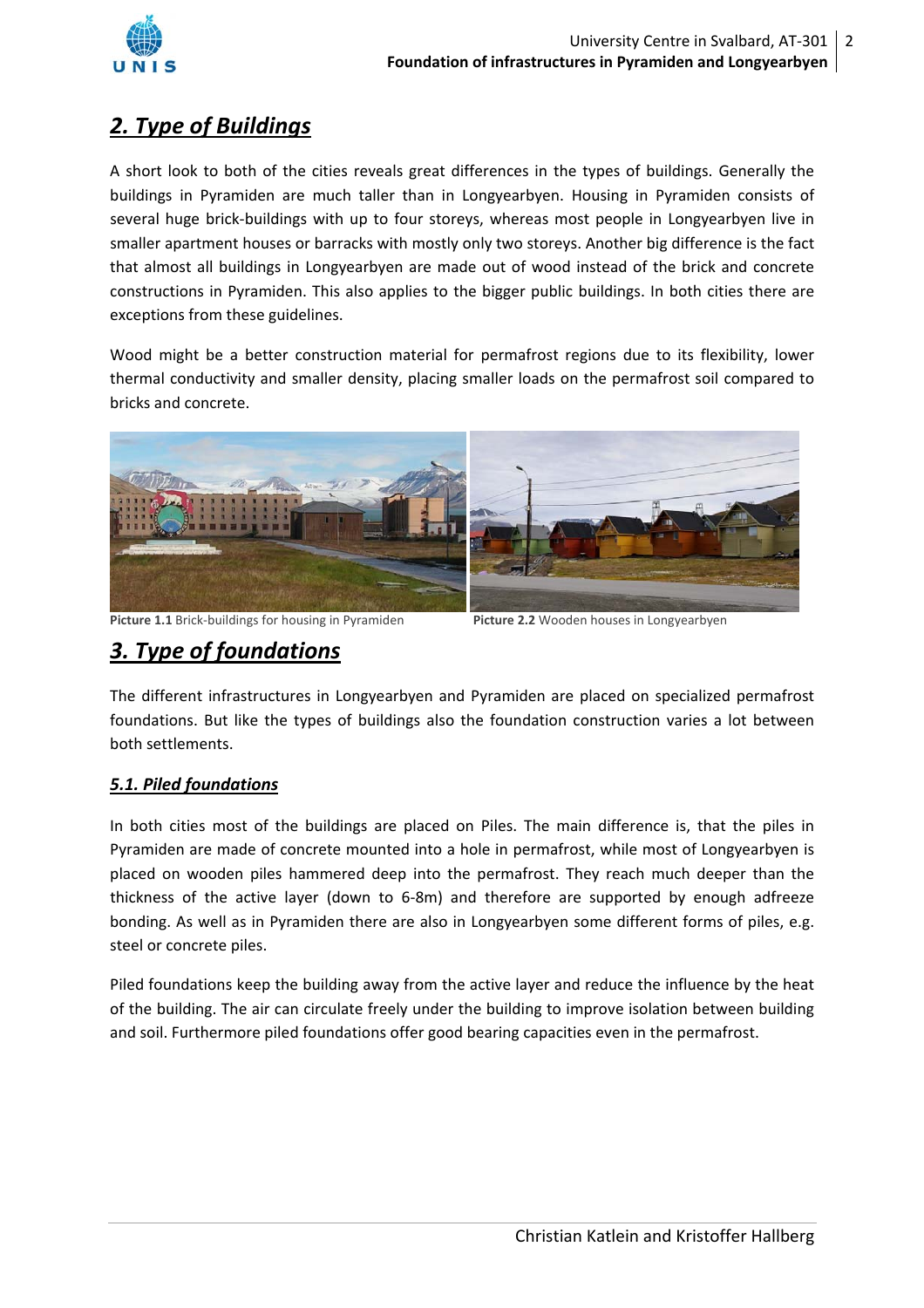

## *2. Type of Buildings*

A short look to both of the cities reveals great differences in the types of buildings. Generally the buildings in Pyramiden are much taller than in Longyearbyen. Housing in Pyramiden consists of several huge brick-buildings with up to four storeys, whereas most people in Longyearbyen live in smaller apartment houses or barracks with mostly only two storeys. Another big difference is the fact that almost all buildings in Longyearbyen are made out of wood instead of the brick and concrete constructions in Pyramiden. This also applies to the bigger public buildings. In both cities there are exceptions from these guidelines.

Wood might be a better construction material for permafrost regions due to its flexibility, lower thermal conductivity and smaller density, placing smaller loads on the permafrost soil compared to bricks and concrete.



**Picture 1.1** Brick-buildings for housing in Pyramiden **Picture 2.2** Wooden houses in Longyearbyen

### *3. Type of foundations*

The different infrastructures in Longyearbyen and Pyramiden are placed on specialized permafrost foundations. But like the types of buildings also the foundation construction varies a lot between both settlements.

### *5.1. Piled foundations*

In both cities most of the buildings are placed on Piles. The main difference is, that the piles in Pyramiden are made of concrete mounted into a hole in permafrost, while most of Longyearbyen is placed on wooden piles hammered deep into the permafrost. They reach much deeper than the thickness of the active layer (down to 6‐8m) and therefore are supported by enough adfreeze bonding. As well as in Pyramiden there are also in Longyearbyen some different forms of piles, e.g. steel or concrete piles.

Piled foundations keep the building away from the active layer and reduce the influence by the heat of the building. The air can circulate freely under the building to improve isolation between building and soil. Furthermore piled foundations offer good bearing capacities even in the permafrost.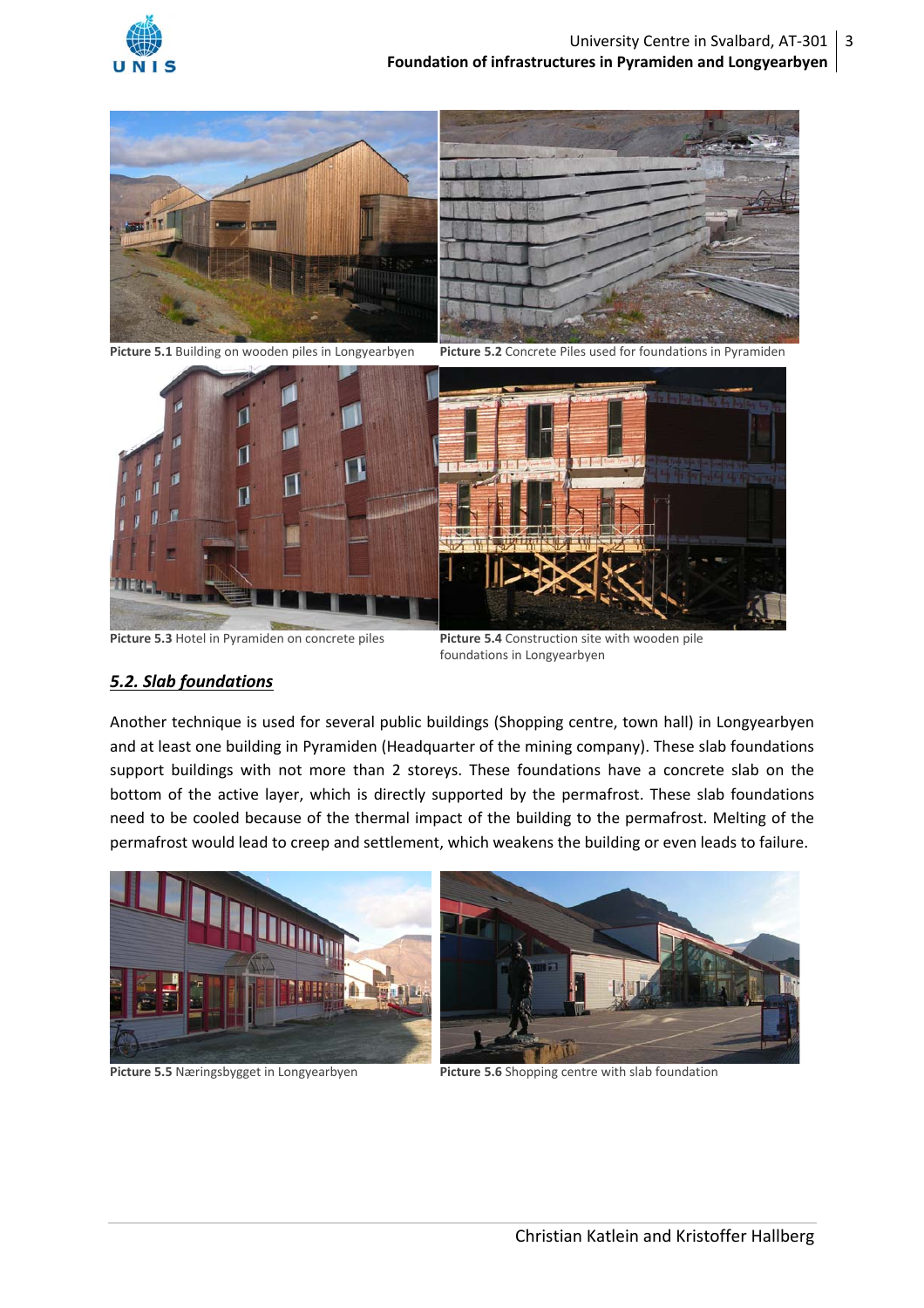



**Picture 5.1** Building on wooden piles in Longyearbyen **Picture 5.2** Concrete Piles used for foundations in Pyramiden



**Picture 5.3** Hotel in Pyramiden on concrete piles **Picture 5.4** Construction site with wooden pile

foundations in Longyearbyen

#### *5.2. Slab foundations*

Another technique is used for several public buildings (Shopping centre, town hall) in Longyearbyen and at least one building in Pyramiden (Headquarter of the mining company). These slab foundations support buildings with not more than 2 storeys. These foundations have a concrete slab on the bottom of the active layer, which is directly supported by the permafrost. These slab foundations need to be cooled because of the thermal impact of the building to the permafrost. Melting of the permafrost would lead to creep and settlement, which weakens the building or even leads to failure.







**Picture 5.5** Næringsbygget in Longyearbyen **Picture 5.6** Shopping centre with slab foundation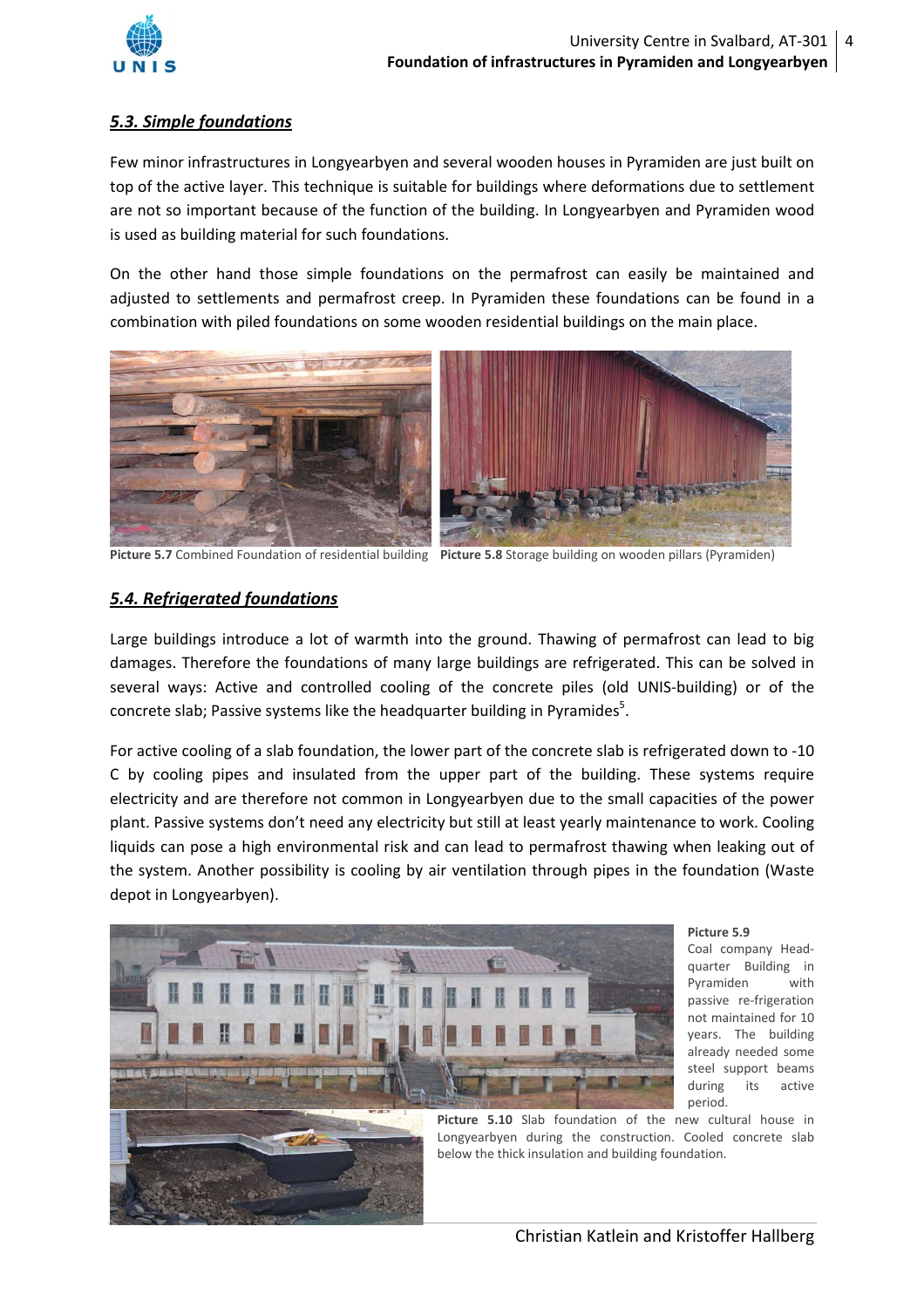

#### *5.3. Simple foundations*

Few minor infrastructures in Longyearbyen and several wooden houses in Pyramiden are just built on top of the active layer. This technique is suitable for buildings where deformations due to settlement are not so important because of the function of the building. In Longyearbyen and Pyramiden wood is used as building material for such foundations.

On the other hand those simple foundations on the permafrost can easily be maintained and adjusted to settlements and permafrost creep. In Pyramiden these foundations can be found in a combination with piled foundations on some wooden residential buildings on the main place.



**Picture 5.7** Combined Foundation of residential building **Picture 5.8** Storage building on wooden pillars (Pyramiden)

#### *5.4. Refrigerated foundations*

Large buildings introduce a lot of warmth into the ground. Thawing of permafrost can lead to big damages. Therefore the foundations of many large buildings are refrigerated. This can be solved in several ways: Active and controlled cooling of the concrete piles (old UNIS-building) or of the concrete slab; Passive systems like the headquarter building in Pyramides<sup>5</sup>.

For active cooling of a slab foundation, the lower part of the concrete slab is refrigerated down to ‐10 C by cooling pipes and insulated from the upper part of the building. These systems require electricity and are therefore not common in Longyearbyen due to the small capacities of the power plant. Passive systems don't need any electricity but still at least yearly maintenance to work. Cooling liquids can pose a high environmental risk and can lead to permafrost thawing when leaking out of the system. Another possibility is cooling by air ventilation through pipes in the foundation (Waste depot in Longyearbyen).



#### **Picture 5.9**

Coal company Head‐ quarter Building in Pyramiden with passive re-frigeration not maintained for 10 years. The building already needed some steel support beams during its active period.

**Picture 5.10** Slab foundation of the new cultural house in Longyearbyen during the construction. Cooled concrete slab below the thick insulation and building foundation.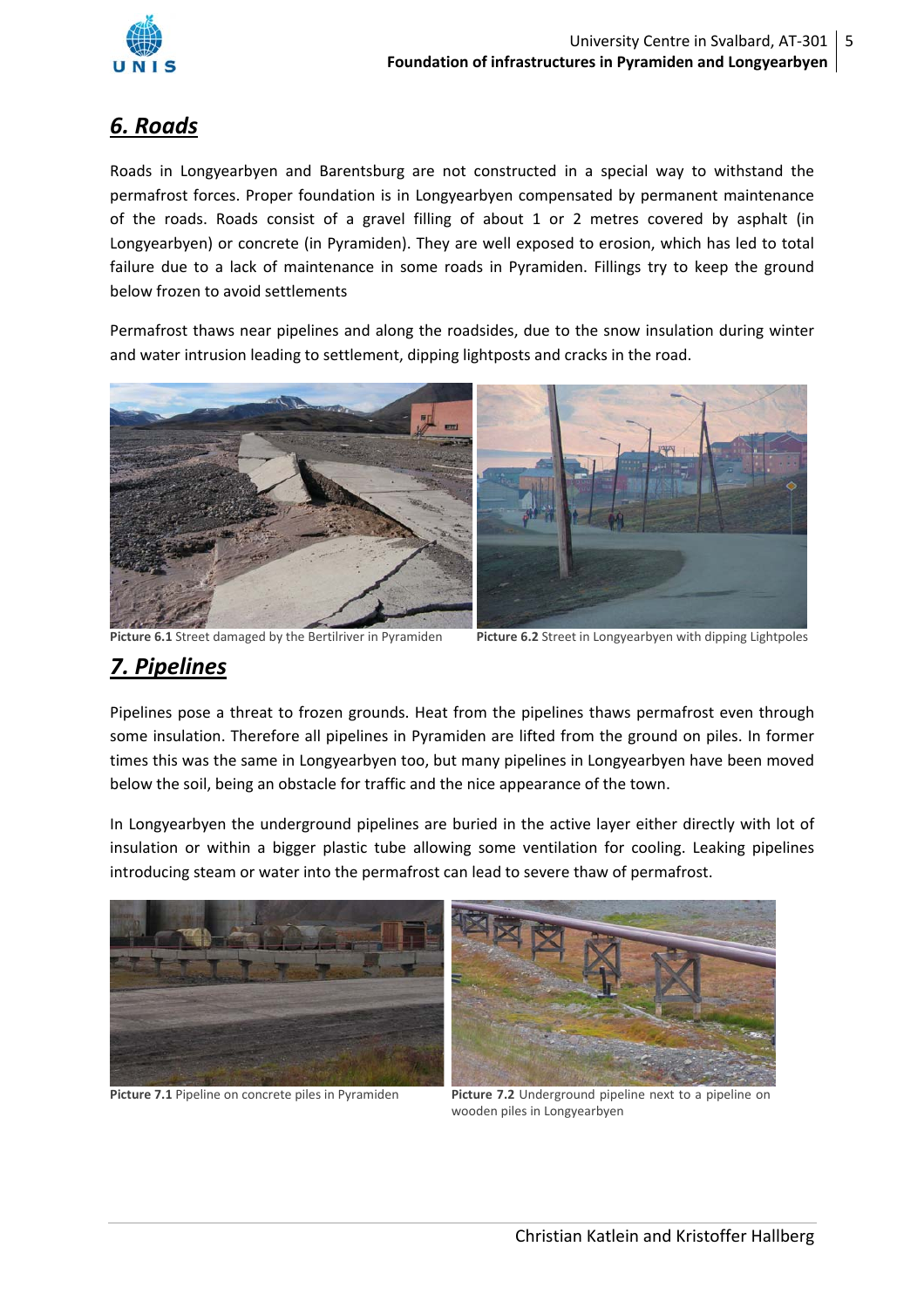

### *6. Roads*

Roads in Longyearbyen and Barentsburg are not constructed in a special way to withstand the permafrost forces. Proper foundation is in Longyearbyen compensated by permanent maintenance of the roads. Roads consist of a gravel filling of about 1 or 2 metres covered by asphalt (in Longyearbyen) or concrete (in Pyramiden). They are well exposed to erosion, which has led to total failure due to a lack of maintenance in some roads in Pyramiden. Fillings try to keep the ground below frozen to avoid settlements

Permafrost thaws near pipelines and along the roadsides, due to the snow insulation during winter and water intrusion leading to settlement, dipping lightposts and cracks in the road.



**Picture 6.1** Street damaged by the Bertilriver in Pyramiden **Picture 6.2** Street in Longyearbyen with dipping Lightpoles

### *7. Pipelines*

Pipelines pose a threat to frozen grounds. Heat from the pipelines thaws permafrost even through some insulation. Therefore all pipelines in Pyramiden are lifted from the ground on piles. In former times this was the same in Longyearbyen too, but many pipelines in Longyearbyen have been moved below the soil, being an obstacle for traffic and the nice appearance of the town.

In Longyearbyen the underground pipelines are buried in the active layer either directly with lot of insulation or within a bigger plastic tube allowing some ventilation for cooling. Leaking pipelines introducing steam or water into the permafrost can lead to severe thaw of permafrost.



**Picture 7.1** Pipeline on concrete piles in Pyramiden **Picture 7.2** Underground pipeline next to a pipeline on wooden piles in Longyearbyen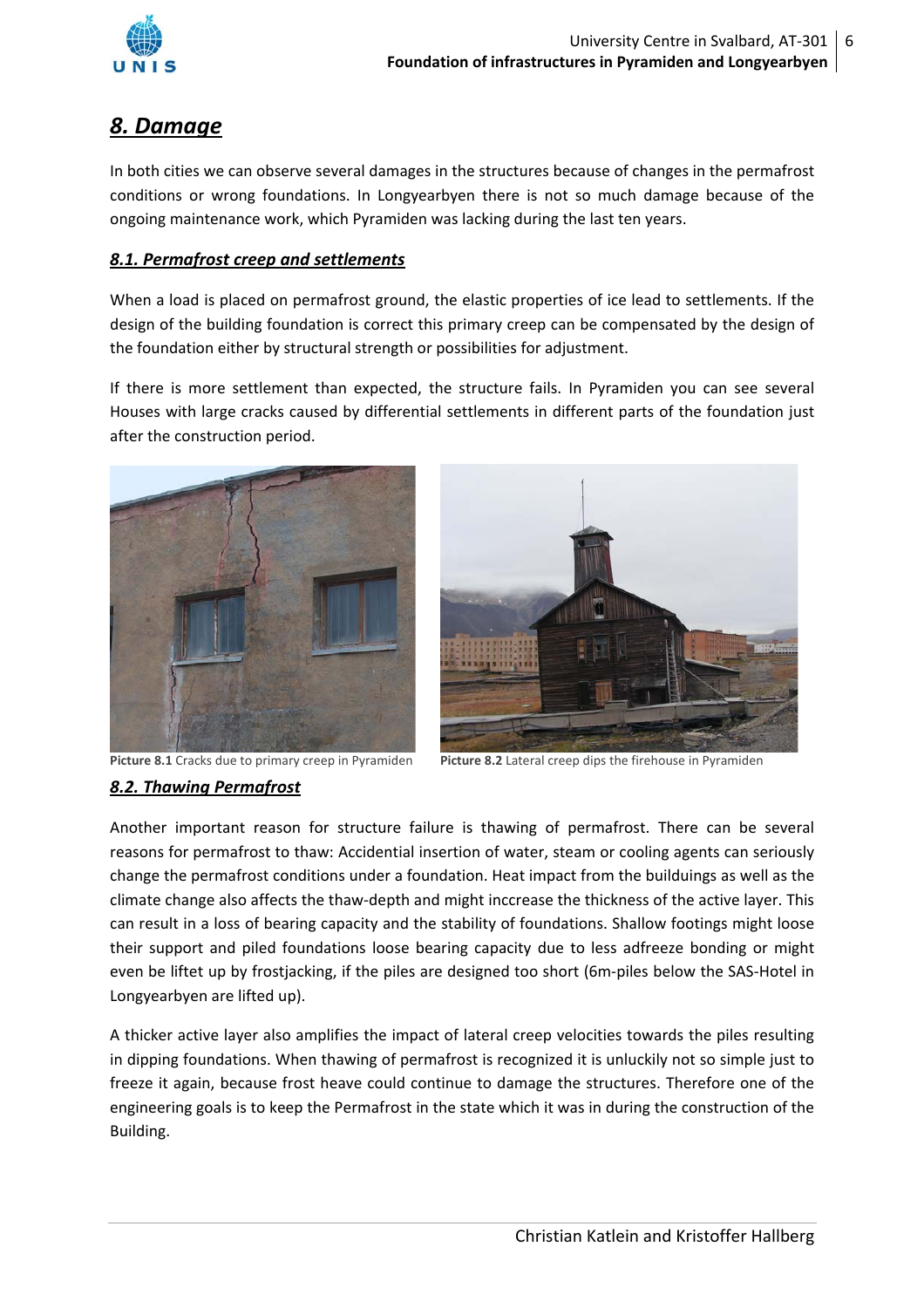

### *8. Damage*

In both cities we can observe several damages in the structures because of changes in the permafrost conditions or wrong foundations. In Longyearbyen there is not so much damage because of the ongoing maintenance work, which Pyramiden was lacking during the last ten years.

#### *8.1. Permafrost creep and settlements*

When a load is placed on permafrost ground, the elastic properties of ice lead to settlements. If the design of the building foundation is correct this primary creep can be compensated by the design of the foundation either by structural strength or possibilities for adjustment.

If there is more settlement than expected, the structure fails. In Pyramiden you can see several Houses with large cracks caused by differential settlements in different parts of the foundation just after the construction period.





**Picture 8.1** Cracks due to primary creep in Pyramiden **Picture 8.2** Lateral creep dips the firehouse in Pyramiden

#### *8.2. Thawing Permafrost*

Another important reason for structure failure is thawing of permafrost. There can be several reasons for permafrost to thaw: Accidential insertion of water, steam or cooling agents can seriously change the permafrost conditions under a foundation. Heat impact from the builduings as well as the climate change also affects the thaw‐depth and might inccrease the thickness of the active layer. This can result in a loss of bearing capacity and the stability of foundations. Shallow footings might loose their support and piled foundations loose bearing capacity due to less adfreeze bonding or might even be liftet up by frostjacking, if the piles are designed too short (6m-piles below the SAS-Hotel in Longyearbyen are lifted up).

A thicker active layer also amplifies the impact of lateral creep velocities towards the piles resulting in dipping foundations. When thawing of permafrost is recognized it is unluckily not so simple just to freeze it again, because frost heave could continue to damage the structures. Therefore one of the engineering goals is to keep the Permafrost in the state which it was in during the construction of the Building.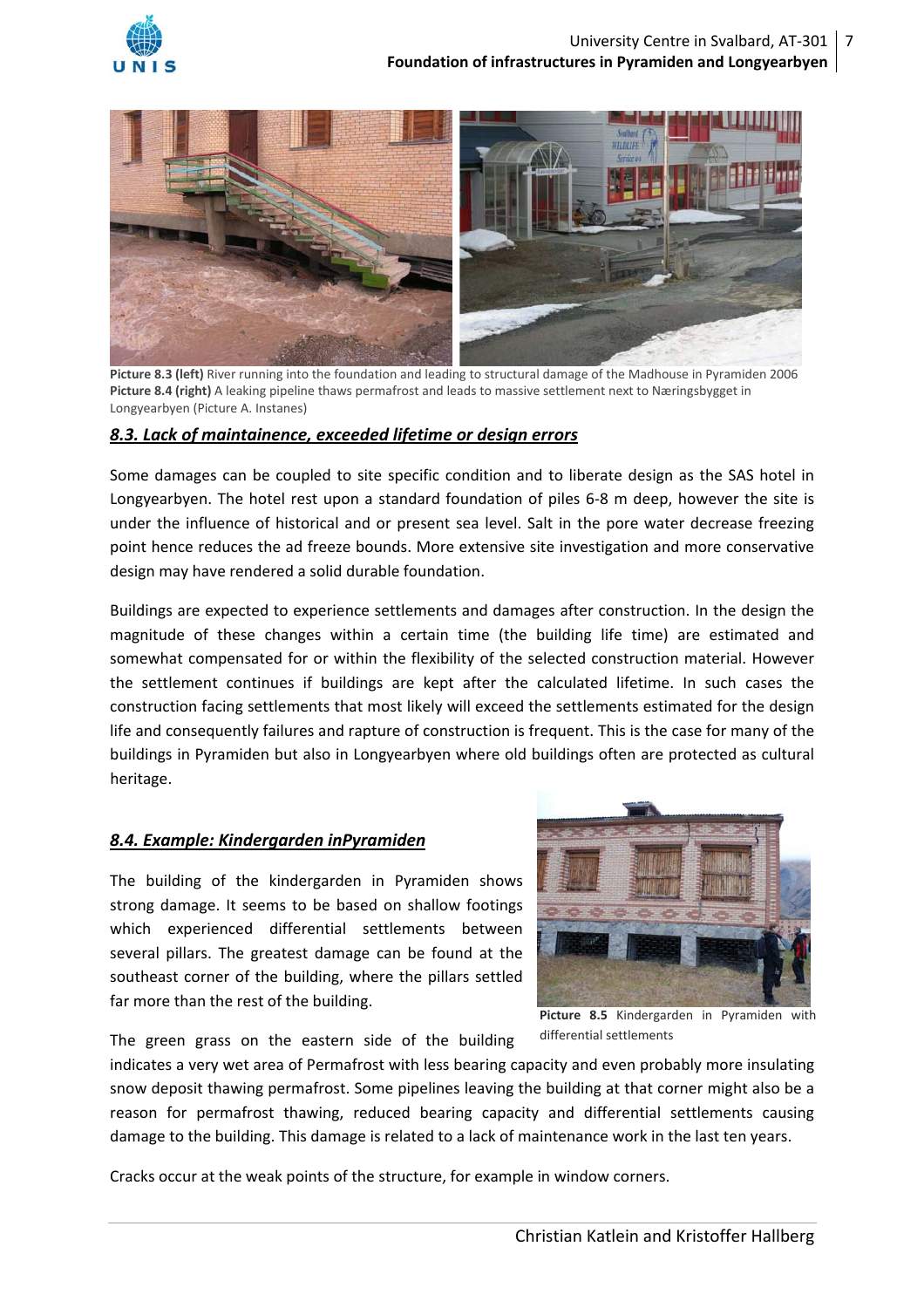



 **Picture 8.3 (left)** River running into the foundation and leading to structural damage of the Madhouse in Pyramiden <sup>2006</sup> **Picture 8.4 (right)** A leaking pipeline thaws permafrost and leads to massive settlement next to Næringsbygget in Longyearbyen (Picture A. Instanes)

#### *8.3. Lack of maintainence, exceeded lifetime or design errors*

Some damages can be coupled to site specific condition and to liberate design as the SAS hotel in Longyearbyen. The hotel rest upon a standard foundation of piles 6-8 m deep, however the site is under the influence of historical and or present sea level. Salt in the pore water decrease freezing point hence reduces the ad freeze bounds. More extensive site investigation and more conservative design may have rendered a solid durable foundation.

Buildings are expected to experience settlements and damages after construction. In the design the magnitude of these changes within a certain time (the building life time) are estimated and somewhat compensated for or within the flexibility of the selected construction material. However the settlement continues if buildings are kept after the calculated lifetime. In such cases the construction facing settlements that most likely will exceed the settlements estimated for the design life and consequently failures and rapture of construction is frequent. This is the case for many of the buildings in Pyramiden but also in Longyearbyen where old buildings often are protected as cultural heritage.

#### *8.4. Example: Kindergarden inPyramiden*

The building of the kindergarden in Pyramiden shows strong damage. It seems to be based on shallow footings which experienced differential settlements between several pillars. The greatest damage can be found at the southeast corner of the building, where the pillars settled far more than the rest of the building.



The green grass on the eastern side of the building

**Picture 8.5** Kindergarden in Pyramiden with differential settlements

indicates a very wet area of Permafrost with less bearing capacity and even probably more insulating snow deposit thawing permafrost. Some pipelines leaving the building at that corner might also be a reason for permafrost thawing, reduced bearing capacity and differential settlements causing damage to the building. This damage is related to a lack of maintenance work in the last ten years.

Cracks occur at the weak points of the structure, for example in window corners.